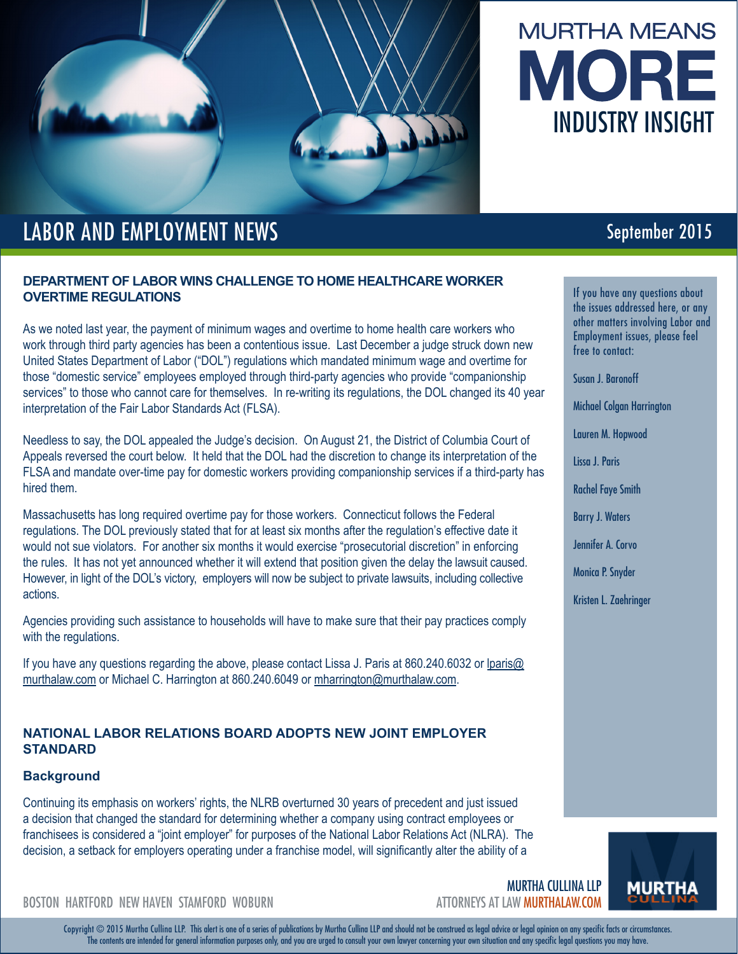



# LABOR AND EMPLOYMENT NEWS **September 2015**

# **DEPARTMENT OF LABOR WINS CHALLENGE TO HOME HEALTHCARE WORKER OVERTIME REGULATIONS**

As we noted last year, the payment of minimum wages and overtime to home health care workers who work through third party agencies has been a contentious issue. Last December a judge struck down new United States Department of Labor ("DOL") regulations which mandated minimum wage and overtime for those "domestic service" employees employed through third-party agencies who provide "companionship services" to those who cannot care for themselves. In re-writing its regulations, the DOL changed its 40 year interpretation of the Fair Labor Standards Act (FLSA).

Needless to say, the DOL appealed the Judge's decision. On August 21, the District of Columbia Court of Appeals reversed the court below. It held that the DOL had the discretion to change its interpretation of the FLSA and mandate over-time pay for domestic workers providing companionship services if a third-party has hired them.

Massachusetts has long required overtime pay for those workers. Connecticut follows the Federal regulations. The DOL previously stated that for at least six months after the regulation's effective date it would not sue violators. For another six months it would exercise "prosecutorial discretion" in enforcing the rules. It has not yet announced whether it will extend that position given the delay the lawsuit caused. However, in light of the DOL's victory, employers will now be subject to private lawsuits, including collective actions.

Agencies providing such assistance to households will have to make sure that their pay practices comply with the regulations.

If you have any questions regarding the above, please contact Lissa J. Paris at 860.240.6032 or lparis@ murthalaw.com or Michael C. Harrington at 860.240.6049 or mharrington@murthalaw.com.

# **NATIONAL LABOR RELATIONS BOARD ADOPTS NEW JOINT EMPLOYER STANDARD**

## **Background**

Continuing its emphasis on workers' rights, the NLRB overturned 30 years of precedent and just issued a decision that changed the standard for determining whether a company using contract employees or franchisees is considered a "joint employer" for purposes of the National Labor Relations Act (NLRA). The decision, a setback for employers operating under a franchise model, will significantly alter the ability of a

If you have any questions about the issues addressed here, or any other matters involving Labor and Employment issues, please feel free to contact:

Susan J. Baronoff

Michael Colgan Harrington

Lauren M. Hopwood

Lissa J. Paris

Rachel Faye Smith

Barry J. Waters

Jennifer A. Corvo

Monica P. Snyder

Kristen L. Zaehringer



BOSTON HARTFORD NEW HAVEN STAMFORD WOBURN ATTORNEYS AT LAW MURTHALAW.COM

Copyright © 2015 Murtha Cullina LLP. This alert is one of a series of publications by Murtha Cullina LLP and should not be construed as legal advice or legal opinion on any specific facts or circumstances. The contents are intended for general information purposes only, and you are urged to consult your own lawyer concerning your own situation and any specific legal questions you may have.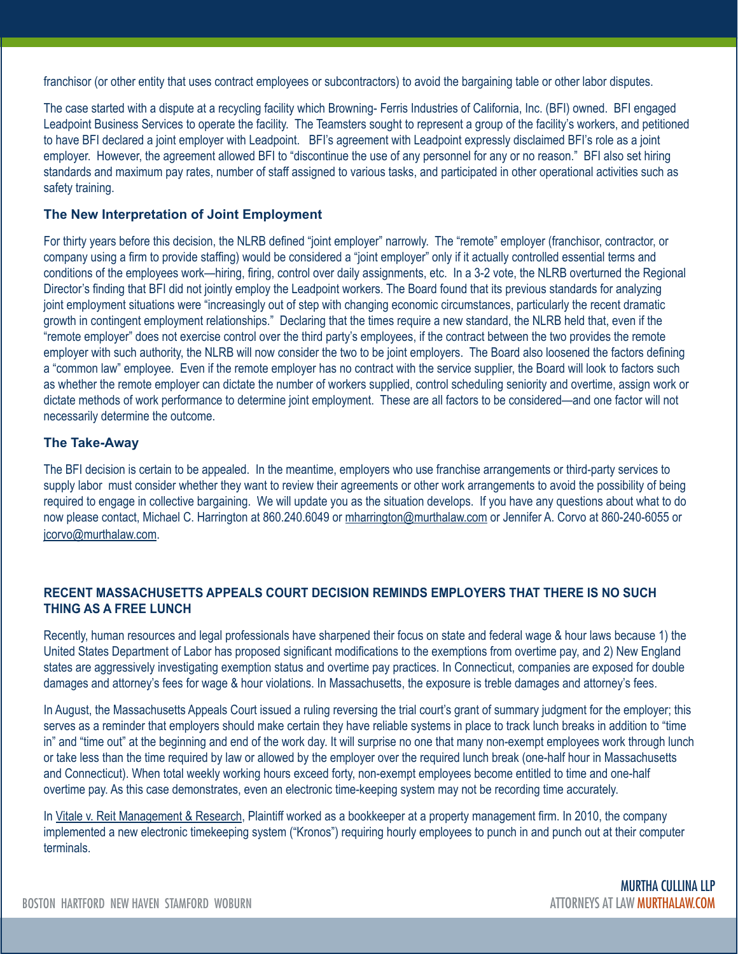franchisor (or other entity that uses contract employees or subcontractors) to avoid the bargaining table or other labor disputes.

The case started with a dispute at a recycling facility which Browning- Ferris Industries of California, Inc. (BFI) owned. BFI engaged Leadpoint Business Services to operate the facility. The Teamsters sought to represent a group of the facility's workers, and petitioned to have BFI declared a joint employer with Leadpoint. BFI's agreement with Leadpoint expressly disclaimed BFI's role as a joint employer. However, the agreement allowed BFI to "discontinue the use of any personnel for any or no reason." BFI also set hiring standards and maximum pay rates, number of staff assigned to various tasks, and participated in other operational activities such as safety training.

### **The New Interpretation of Joint Employment**

For thirty years before this decision, the NLRB defined "joint employer" narrowly. The "remote" employer (franchisor, contractor, or company using a firm to provide staffing) would be considered a "joint employer" only if it actually controlled essential terms and conditions of the employees work—hiring, firing, control over daily assignments, etc. In a 3-2 vote, the NLRB overturned the Regional Director's finding that BFI did not jointly employ the Leadpoint workers. The Board found that its previous standards for analyzing joint employment situations were "increasingly out of step with changing economic circumstances, particularly the recent dramatic growth in contingent employment relationships." Declaring that the times require a new standard, the NLRB held that, even if the "remote employer" does not exercise control over the third party's employees, if the contract between the two provides the remote employer with such authority, the NLRB will now consider the two to be joint employers. The Board also loosened the factors defining a "common law" employee. Even if the remote employer has no contract with the service supplier, the Board will look to factors such as whether the remote employer can dictate the number of workers supplied, control scheduling seniority and overtime, assign work or dictate methods of work performance to determine joint employment. These are all factors to be considered—and one factor will not necessarily determine the outcome.

### **The Take-Away**

The BFI decision is certain to be appealed. In the meantime, employers who use franchise arrangements or third-party services to supply labor must consider whether they want to review their agreements or other work arrangements to avoid the possibility of being required to engage in collective bargaining. We will update you as the situation develops. If you have any questions about what to do now please contact, Michael C. Harrington at 860.240.6049 or mharrington@murthalaw.com or Jennifer A. Corvo at 860-240-6055 or jcorvo@murthalaw.com.

## **RECENT MASSACHUSETTS APPEALS COURT DECISION REMINDS EMPLOYERS THAT THERE IS NO SUCH THING AS A FREE LUNCH**

Recently, human resources and legal professionals have sharpened their focus on state and federal wage & hour laws because 1) the United States Department of Labor has proposed significant modifications to the exemptions from overtime pay, and 2) New England states are aggressively investigating exemption status and overtime pay practices. In Connecticut, companies are exposed for double damages and attorney's fees for wage & hour violations. In Massachusetts, the exposure is treble damages and attorney's fees.

In August, the Massachusetts Appeals Court issued a ruling reversing the trial court's grant of summary judgment for the employer; this serves as a reminder that employers should make certain they have reliable systems in place to track lunch breaks in addition to "time in" and "time out" at the beginning and end of the work day. It will surprise no one that many non-exempt employees work through lunch or take less than the time required by law or allowed by the employer over the required lunch break (one-half hour in Massachusetts and Connecticut). When total weekly working hours exceed forty, non-exempt employees become entitled to time and one-half overtime pay. As this case demonstrates, even an electronic time-keeping system may not be recording time accurately.

In Vitale v. Reit Management & Research, Plaintiff worked as a bookkeeper at a property management firm. In 2010, the company implemented a new electronic timekeeping system ("Kronos") requiring hourly employees to punch in and punch out at their computer terminals.